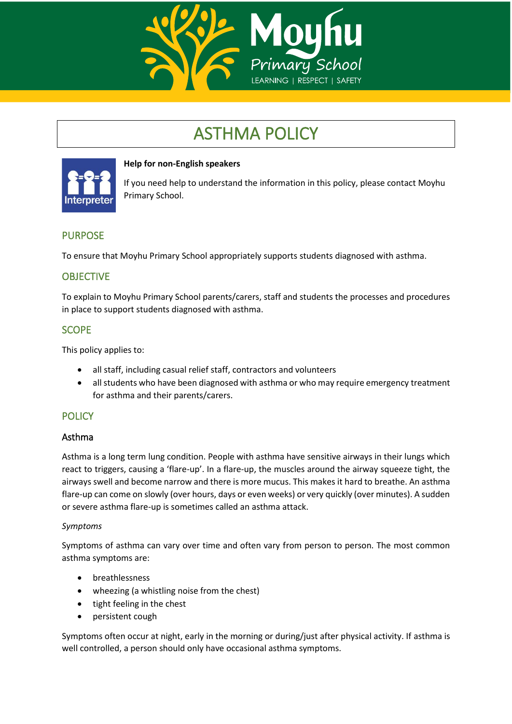

# ASTHMA POLICY



## **Help for non-English speakers**

If you need help to understand the information in this policy, please contact Moyhu Primary School.

# PURPOSE

To ensure that Moyhu Primary School appropriately supports students diagnosed with asthma.

# **OBJECTIVE**

To explain to Moyhu Primary School parents/carers, staff and students the processes and procedures in place to support students diagnosed with asthma.

## **SCOPE**

This policy applies to:

- all staff, including casual relief staff, contractors and volunteers
- all students who have been diagnosed with asthma or who may require emergency treatment for asthma and their parents/carers.

## **POLICY**

#### Asthma

Asthma is a long term lung condition. People with asthma have sensitive airways in their lungs which react to triggers, causing a 'flare-up'. In a flare-up, the muscles around the airway squeeze tight, the airways swell and become narrow and there is more mucus. This makes it hard to breathe. An asthma flare-up can come on slowly (over hours, days or even weeks) or very quickly (over minutes). A sudden or severe asthma flare-up is sometimes called an asthma attack.

#### *Symptoms*

Symptoms of asthma can vary over time and often vary from person to person. The most common asthma symptoms are:

- breathlessness
- wheezing (a whistling noise from the chest)
- tight feeling in the chest
- persistent cough

Symptoms often occur at night, early in the morning or during/just after physical activity. If asthma is well controlled, a person should only have occasional asthma symptoms.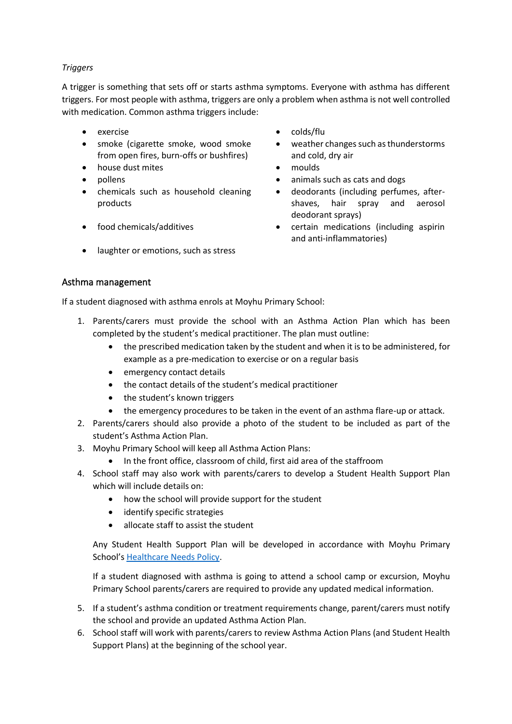#### *Triggers*

A trigger is something that sets off or starts asthma symptoms. Everyone with asthma has different triggers. For most people with asthma, triggers are only a problem when asthma is not well controlled with medication. Common asthma triggers include:

- 
- smoke (cigarette smoke, wood smoke from open fires, burn-offs or bushfires)
- house dust mites moulds
- 
- chemicals such as household cleaning products
- 
- laughter or emotions, such as stress
- exercise colds/flu
	- weather changes such as thunderstorms and cold, dry air
	-
- pollens animals such as cats and dogs
	- deodorants (including perfumes, aftershaves, hair spray and aerosol deodorant sprays)
- food chemicals/additives certain medications (including aspirin and anti-inflammatories)

## Asthma management

If a student diagnosed with asthma enrols at Moyhu Primary School:

- 1. Parents/carers must provide the school with an Asthma Action Plan which has been completed by the student's medical practitioner. The plan must outline:
	- the prescribed medication taken by the student and when it is to be administered, for example as a pre-medication to exercise or on a regular basis
	- emergency contact details
	- the contact details of the student's medical practitioner
	- the student's known triggers
	- the emergency procedures to be taken in the event of an asthma flare-up or attack.
- 2. Parents/carers should also provide a photo of the student to be included as part of the student's Asthma Action Plan.
- 3. Moyhu Primary School will keep all Asthma Action Plans:
	- In the front office, classroom of child, first aid area of the staffroom
- 4. School staff may also work with parents/carers to develop a Student Health Support Plan which will include details on:
	- how the school will provide support for the student
	- identify specific strategies
	- allocate staff to assist the student

Any Student Health Support Plan will be developed in accordance with Moyhu Primary School's [Healthcare Needs Policy.](https://secureservercdn.net/198.71.233.44/6mp.adb.myftpupload.com/wp-content/uploads/2020/07/Health-Care-Needs-Policy-June-2020.pdf)

If a student diagnosed with asthma is going to attend a school camp or excursion, Moyhu Primary School parents/carers are required to provide any updated medical information.

- 5. If a student's asthma condition or treatment requirements change, parent/carers must notify the school and provide an updated Asthma Action Plan.
- 6. School staff will work with parents/carers to review Asthma Action Plans (and Student Health Support Plans) at the beginning of the school year.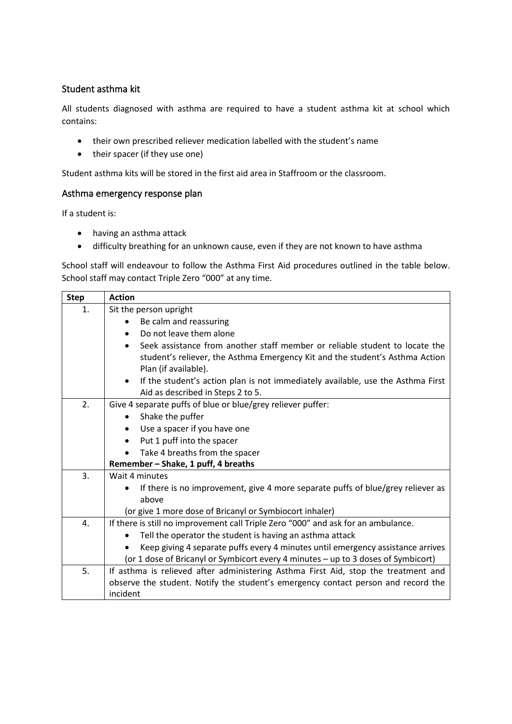## Student asthma kit

All students diagnosed with asthma are required to have a student asthma kit at school which contains:

- their own prescribed reliever medication labelled with the student's name
- their spacer (if they use one)

Student asthma kits will be stored in the first aid area in Staffroom or the classroom.

#### Asthma emergency response plan

If a student is:

- having an asthma attack
- difficulty breathing for an unknown cause, even if they are not known to have asthma

School staff will endeavour to follow the Asthma First Aid procedures outlined in the table below. School staff may contact Triple Zero "000" at any time.

| <b>Step</b> | <b>Action</b>                                                                                |  |  |  |  |
|-------------|----------------------------------------------------------------------------------------------|--|--|--|--|
| 1.          | Sit the person upright                                                                       |  |  |  |  |
|             | Be calm and reassuring                                                                       |  |  |  |  |
|             | Do not leave them alone<br>$\bullet$                                                         |  |  |  |  |
|             | Seek assistance from another staff member or reliable student to locate the<br>$\bullet$     |  |  |  |  |
|             | student's reliever, the Asthma Emergency Kit and the student's Asthma Action                 |  |  |  |  |
|             | Plan (if available).                                                                         |  |  |  |  |
|             | If the student's action plan is not immediately available, use the Asthma First<br>$\bullet$ |  |  |  |  |
|             | Aid as described in Steps 2 to 5.                                                            |  |  |  |  |
| 2.          | Give 4 separate puffs of blue or blue/grey reliever puffer:                                  |  |  |  |  |
|             | Shake the puffer<br>$\bullet$                                                                |  |  |  |  |
|             | Use a spacer if you have one                                                                 |  |  |  |  |
|             | Put 1 puff into the spacer<br>$\bullet$                                                      |  |  |  |  |
|             | Take 4 breaths from the spacer                                                               |  |  |  |  |
|             | Remember - Shake, 1 puff, 4 breaths                                                          |  |  |  |  |
| 3.          | Wait 4 minutes                                                                               |  |  |  |  |
|             | If there is no improvement, give 4 more separate puffs of blue/grey reliever as              |  |  |  |  |
|             | above                                                                                        |  |  |  |  |
|             | (or give 1 more dose of Bricanyl or Symbiocort inhaler)                                      |  |  |  |  |
| 4.          | If there is still no improvement call Triple Zero "000" and ask for an ambulance.            |  |  |  |  |
|             | Tell the operator the student is having an asthma attack                                     |  |  |  |  |
|             | Keep giving 4 separate puffs every 4 minutes until emergency assistance arrives              |  |  |  |  |
|             | (or 1 dose of Bricanyl or Symbicort every 4 minutes - up to 3 doses of Symbicort)            |  |  |  |  |
| 5.          | If asthma is relieved after administering Asthma First Aid, stop the treatment and           |  |  |  |  |
|             | observe the student. Notify the student's emergency contact person and record the            |  |  |  |  |
|             | incident                                                                                     |  |  |  |  |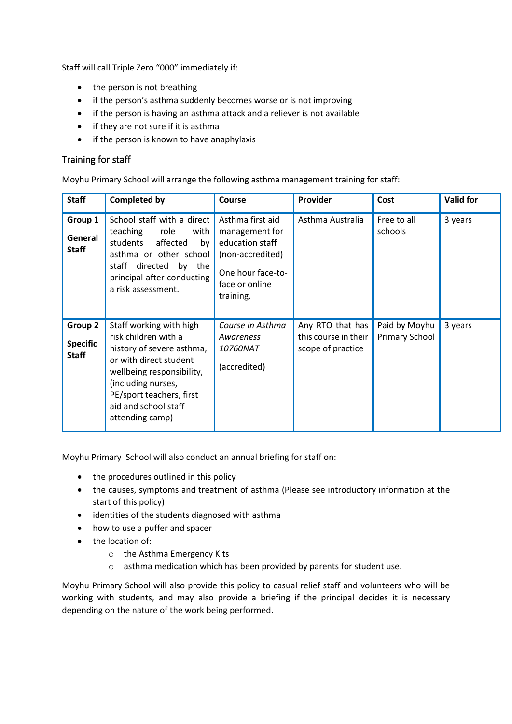Staff will call Triple Zero "000" immediately if:

- the person is not breathing
- if the person's asthma suddenly becomes worse or is not improving
- if the person is having an asthma attack and a reliever is not available
- if they are not sure if it is asthma
- if the person is known to have anaphylaxis

#### Training for staff

Moyhu Primary School will arrange the following asthma management training for staff:

| <b>Staff</b>                               | <b>Completed by</b>                                                                                                                                                                                                              | Course                                                                                                                        | Provider                                                      | Cost                                   | <b>Valid for</b> |
|--------------------------------------------|----------------------------------------------------------------------------------------------------------------------------------------------------------------------------------------------------------------------------------|-------------------------------------------------------------------------------------------------------------------------------|---------------------------------------------------------------|----------------------------------------|------------------|
| Group 1<br>General<br><b>Staff</b>         | School staff with a direct<br>teaching<br>role<br>with<br>students<br>affected<br>by<br>asthma or other school<br>staff directed<br>by the<br>principal after conducting<br>a risk assessment.                                   | Asthma first aid<br>management for<br>education staff<br>(non-accredited)<br>One hour face-to-<br>face or online<br>training. | Asthma Australia                                              | Free to all<br>schools                 | 3 years          |
| Group 2<br><b>Specific</b><br><b>Staff</b> | Staff working with high<br>risk children with a<br>history of severe asthma,<br>or with direct student<br>wellbeing responsibility,<br>(including nurses,<br>PE/sport teachers, first<br>aid and school staff<br>attending camp) | Course in Asthma<br>Awareness<br><i>10760NAT</i><br>(accredited)                                                              | Any RTO that has<br>this course in their<br>scope of practice | Paid by Moyhu<br><b>Primary School</b> | 3 years          |

Moyhu Primary School will also conduct an annual briefing for staff on:

- the procedures outlined in this policy
- the causes, symptoms and treatment of asthma (Please see introductory information at the start of this policy)
- identities of the students diagnosed with asthma
- how to use a puffer and spacer
- the location of:
	- o the Asthma Emergency Kits
	- o asthma medication which has been provided by parents for student use.

Moyhu Primary School will also provide this policy to casual relief staff and volunteers who will be working with students, and may also provide a briefing if the principal decides it is necessary depending on the nature of the work being performed.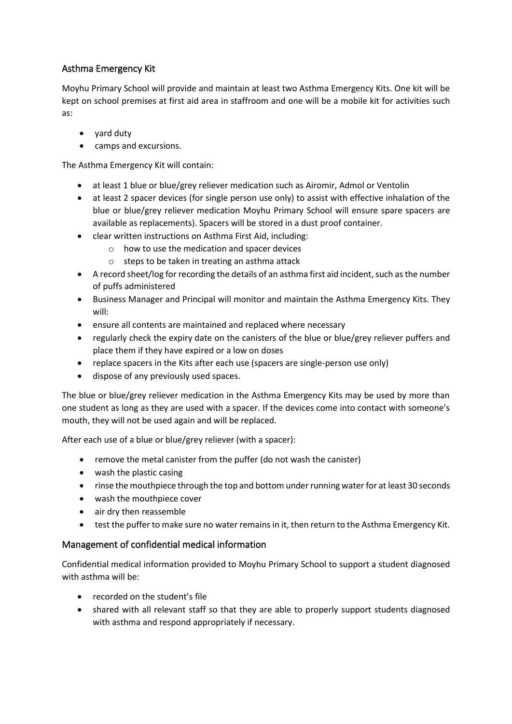# Asthma Emergency Kit

Moyhu Primary School will provide and maintain at least two Asthma Emergency Kits. One kit will be kept on school premises at first aid area in staffroom and one will be a mobile kit for activities such as:

- yard duty
- camps and excursions.

The Asthma Emergency Kit will contain:

- at least 1 blue or blue/grey reliever medication such as Airomir, Admol or Ventolin
- at least 2 spacer devices (for single person use only) to assist with effective inhalation of the blue or blue/grey reliever medication Moyhu Primary School will ensure spare spacers are available as replacements). Spacers will be stored in a dust proof container.
- clear written instructions on Asthma First Aid, including:
	- o how to use the medication and spacer devices
	- o steps to be taken in treating an asthma attack
- A record sheet/log for recording the details of an asthma first aid incident, such as the number of puffs administered
- Business Manager and Principal will monitor and maintain the Asthma Emergency Kits. They will:
- ensure all contents are maintained and replaced where necessary
- regularly check the expiry date on the canisters of the blue or blue/grey reliever puffers and place them if they have expired or a low on doses
- replace spacers in the Kits after each use (spacers are single-person use only)
- dispose of any previously used spaces.

The blue or blue/grey reliever medication in the Asthma Emergency Kits may be used by more than one student as long as they are used with a spacer. If the devices come into contact with someone's mouth, they will not be used again and will be replaced.

After each use of a blue or blue/grey reliever (with a spacer):

- remove the metal canister from the puffer (do not wash the canister)
- wash the plastic casing
- rinse the mouthpiece through the top and bottom under running water for at least 30 seconds
- wash the mouthpiece cover
- air dry then reassemble
- test the puffer to make sure no water remains in it, then return to the Asthma Emergency Kit.

#### Management of confidential medical information

Confidential medical information provided to Moyhu Primary School to support a student diagnosed with asthma will be:

- recorded on the student's file
- shared with all relevant staff so that they are able to properly support students diagnosed with asthma and respond appropriately if necessary.